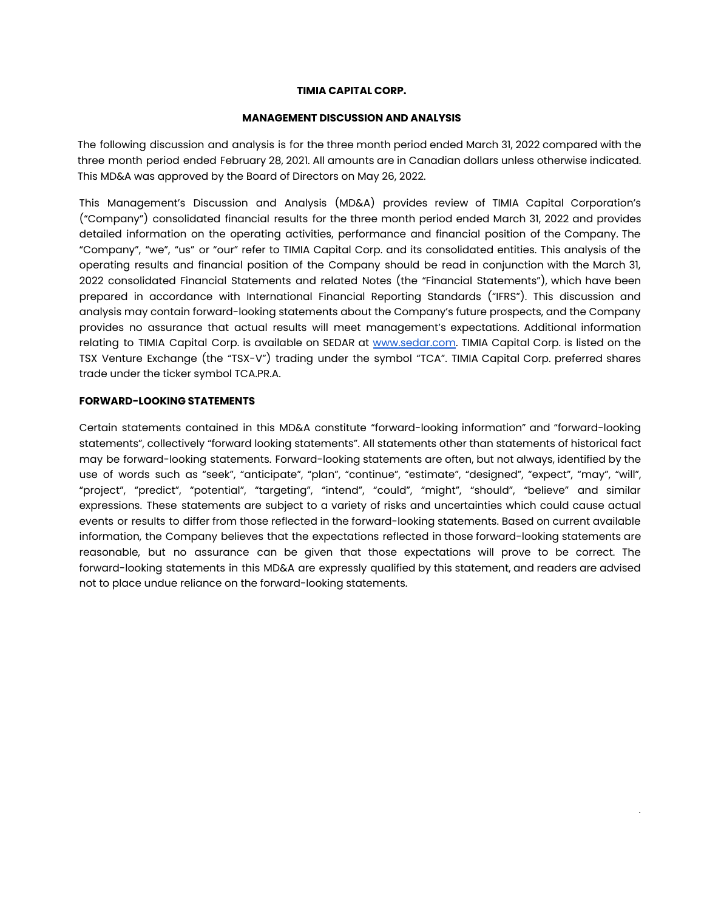#### **TIMIA CAPITAL CORP.**

#### **MANAGEMENT DISCUSSION AND ANALYSIS**

The following discussion and analysis is for the three month period ended March 31, 2022 compared with the three month period ended February 28, 2021. All amounts are in Canadian dollars unless otherwise indicated. This MD&A was approved by the Board of Directors on May 26, 2022.

This Management's Discussion and Analysis (MD&A) provides review of TIMIA Capital Corporation's ("Company") consolidated financial results for the three month period ended March 31, 2022 and provides detailed information on the operating activities, performance and financial position of the Company. The "Company", "we", "us" or "our" refer to TIMIA Capital Corp. and its consolidated entities. This analysis of the operating results and financial position of the Company should be read in conjunction with the March 31, 2022 consolidated Financial Statements and related Notes (the "Financial Statements"), which have been prepared in accordance with International Financial Reporting Standards ("IFRS"). This discussion and analysis may contain forward-looking statements about the Company's future prospects, and the Company provides no assurance that actual results will meet management's expectations. Additional information relating to TIMIA Capital Corp. is available on SEDAR at [www.sedar.com.](http://www.sedar.com/) TIMIA Capital Corp. is listed on the TSX Venture Exchange (the "TSX-V") trading under the symbol "TCA". TIMIA Capital Corp. preferred shares trade under the ticker symbol TCA.PR.A.

## **FORWARD-LOOKING STATEMENTS**

Certain statements contained in this MD&A constitute "forward-looking information" and "forward-looking statements", collectively "forward looking statements". All statements other than statements of historical fact may be forward-looking statements. Forward-looking statements are often, but not always, identified by the use of words such as "seek", "anticipate", "plan", "continue", "estimate", "designed", "expect", "may", "will", "project", "predict", "potential", "targeting", "intend", "could", "might", "should", "believe" and similar expressions. These statements are subject to a variety of risks and uncertainties which could cause actual events or results to differ from those reflected in the forward-looking statements. Based on current available information, the Company believes that the expectations reflected in those forward-looking statements are reasonable, but no assurance can be given that those expectations will prove to be correct. The forward-looking statements in this MD&A are expressly qualified by this statement, and readers are advised not to place undue reliance on the forward-looking statements.

|<br>|-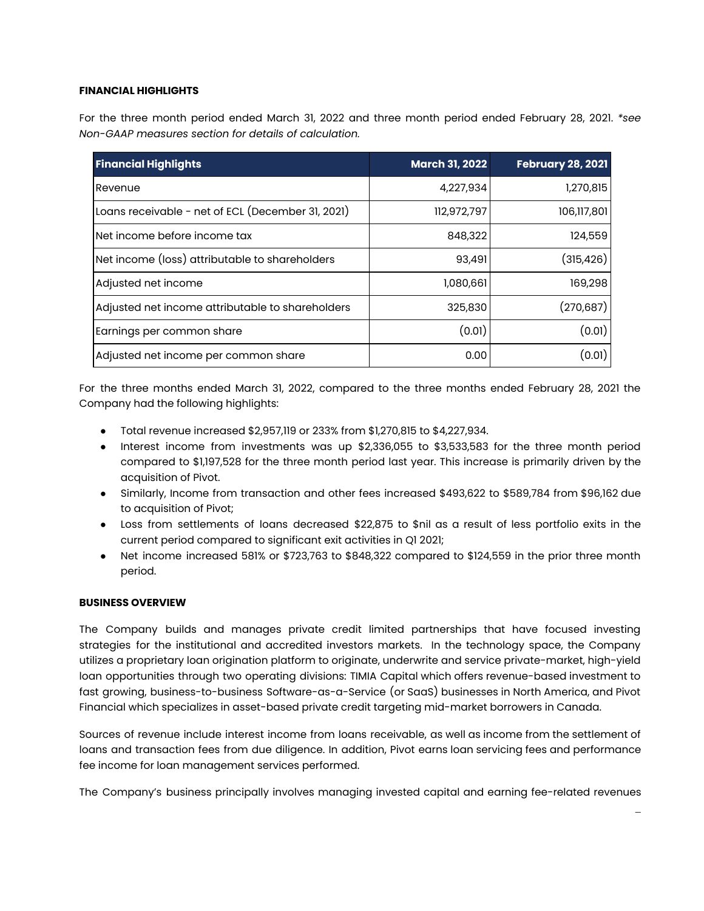# **FINANCIAL HIGHLIGHTS**

For the three month period ended March 31, 2022 and three month period ended February 28, 2021. *\*see Non-GAAP measures section for details of calculation.*

| <b>Financial Highlights</b>                       | <b>March 31, 2022</b> | <b>February 28, 2021</b> |
|---------------------------------------------------|-----------------------|--------------------------|
| Revenue                                           | 4,227,934             | 1,270,815                |
| Loans receivable - net of ECL (December 31, 2021) | 112,972,797           | 106,117,801              |
| Net income before income tax                      | 848,322               | 124,559                  |
| Net income (loss) attributable to shareholders    | 93,491                | (315,426)                |
| Adjusted net income                               | 1,080,661             | 169,298                  |
| Adjusted net income attributable to shareholders  | 325,830               | (270, 687)               |
| Earnings per common share                         | (0.01)                | (0.01)                   |
| Adjusted net income per common share              | 0.00                  | (0.01)                   |

For the three months ended March 31, 2022, compared to the three months ended February 28, 2021 the Company had the following highlights:

- Total revenue increased \$2,957,119 or 233% from \$1,270,815 to \$4,227,934.
- Interest income from investments was up \$2,336,055 to \$3,533,583 for the three month period compared to \$1,197,528 for the three month period last year. This increase is primarily driven by the acquisition of Pivot.
- Similarly, Income from transaction and other fees increased \$493,622 to \$589,784 from \$96,162 due to acquisition of Pivot;
- Loss from settlements of loans decreased \$22,875 to \$nil as a result of less portfolio exits in the current period compared to significant exit activities in Q1 2021;
- Net income increased 581% or \$723,763 to \$848,322 compared to \$124,559 in the prior three month period.

## **BUSINESS OVERVIEW**

The Company builds and manages private credit limited partnerships that have focused investing strategies for the institutional and accredited investors markets. In the technology space, the Company utilizes a proprietary loan origination platform to originate, underwrite and service private-market, high-yield loan opportunities through two operating divisions: TIMIA Capital which offers revenue-based investment to fast growing, business-to-business Software-as-a-Service (or SaaS) businesses in North America, and Pivot Financial which specializes in asset-based private credit targeting mid-market borrowers in Canada.

Sources of revenue include interest income from loans receivable, as well as income from the settlement of loans and transaction fees from due diligence. In addition, Pivot earns loan servicing fees and performance fee income for loan management services performed.

The Company's business principally involves managing invested capital and earning fee-related revenues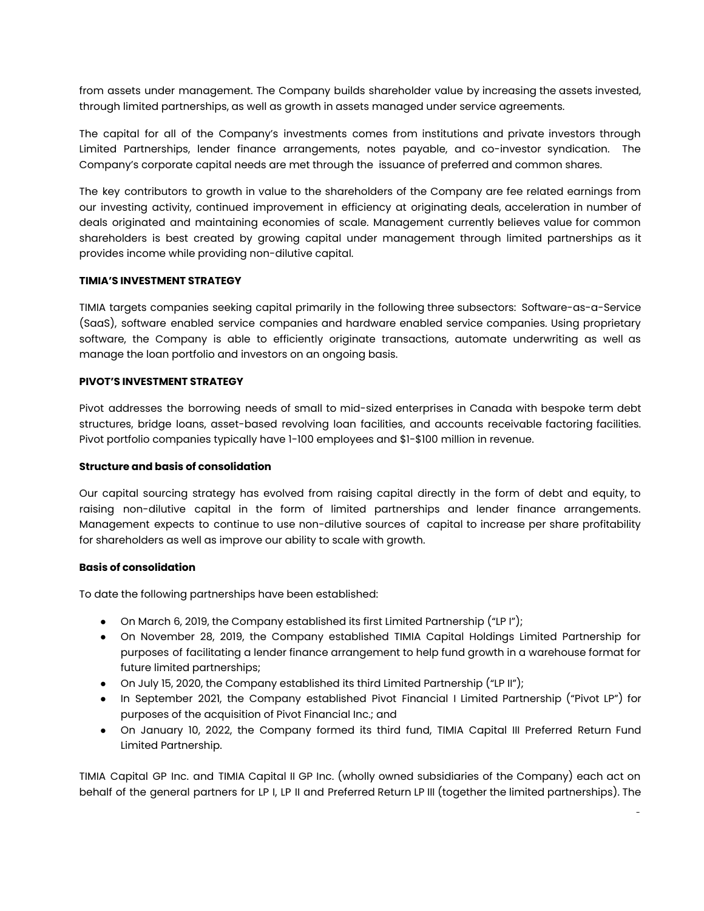from assets under management. The Company builds shareholder value by increasing the assets invested, through limited partnerships, as well as growth in assets managed under service agreements.

The capital for all of the Company's investments comes from institutions and private investors through Limited Partnerships, lender finance arrangements, notes payable, and co-investor syndication. The Company's corporate capital needs are met through the issuance of preferred and common shares.

The key contributors to growth in value to the shareholders of the Company are fee related earnings from our investing activity, continued improvement in efficiency at originating deals, acceleration in number of deals originated and maintaining economies of scale. Management currently believes value for common shareholders is best created by growing capital under management through limited partnerships as it provides income while providing non-dilutive capital.

## **TIMIA'S INVESTMENT STRATEGY**

TIMIA targets companies seeking capital primarily in the following three subsectors: Software-as-a-Service (SaaS), software enabled service companies and hardware enabled service companies. Using proprietary software, the Company is able to efficiently originate transactions, automate underwriting as well as manage the loan portfolio and investors on an ongoing basis.

## **PIVOT'S INVESTMENT STRATEGY**

Pivot addresses the borrowing needs of small to mid-sized enterprises in Canada with bespoke term debt structures, bridge loans, asset-based revolving loan facilities, and accounts receivable factoring facilities. Pivot portfolio companies typically have 1-100 employees and \$1-\$100 million in revenue.

#### **Structure and basis of consolidation**

Our capital sourcing strategy has evolved from raising capital directly in the form of debt and equity, to raising non-dilutive capital in the form of limited partnerships and lender finance arrangements. Management expects to continue to use non-dilutive sources of capital to increase per share profitability for shareholders as well as improve our ability to scale with growth.

## **Basis of consolidation**

To date the following partnerships have been established:

- On March 6, 2019, the Company established its first Limited Partnership ("LP I");
- On November 28, 2019, the Company established TIMIA Capital Holdings Limited Partnership for purposes of facilitating a lender finance arrangement to help fund growth in a warehouse format for future limited partnerships;
- On July 15, 2020, the Company established its third Limited Partnership ("LP II");
- In September 2021, the Company established Pivot Financial I Limited Partnership ("Pivot LP") for purposes of the acquisition of Pivot Financial Inc.; and
- On January 10, 2022, the Company formed its third fund, TIMIA Capital III Preferred Return Fund Limited Partnership.

<sup>-</sup>

TIMIA Capital GP Inc. and TIMIA Capital II GP Inc. (wholly owned subsidiaries of the Company) each act on behalf of the general partners for LP I, LP II and Preferred Return LP III (together the limited partnerships). The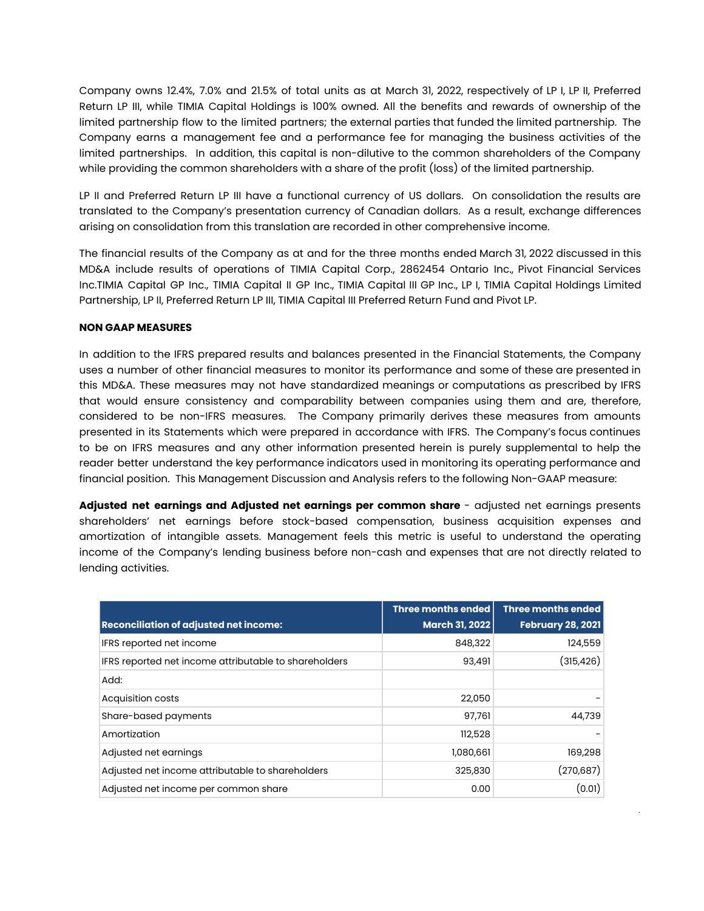Company owns 12.4%, 7.0% and 21.5% of total units as at March 31, 2022, respectively of LP I, LP II, Preferred Return LP III, while TIMIA Capital Holdings is 100% owned. All the benefits and rewards of ownership of the limited partnership flow to the limited partners; the external parties that funded the limited partnership. The Company earns a management fee and a performance fee for managing the business activities of the limited partnerships. In addition, this capital is non-dilutive to the common shareholders of the Company while providing the common shareholders with a share of the profit (loss) of the limited partnership.

LP II and Preferred Return LP III have a functional currency of US dollars. On consolidation the results are translated to the Company's presentation currency of Canadian dollars. As a result, exchange differences arising on consolidation from this translation are recorded in other comprehensive income.

The financial results of the Company as at and for the three months ended March 31, 2022 discussed in this MD&A include results of operations of TIMIA Capital Corp., 2862454 Ontario Inc., Pivot Financial Services Inc.TIMIA Capital GP Inc., TIMIA Capital II GP Inc., TIMIA Capital III GP Inc., LP I, TIMIA Capital Holdings Limited Partnership, LP II, Preferred Return LP III, TIMIA Capital III Preferred Return Fund and Pivot LP.

### **NON GAAP MEASURES**

In addition to the IFRS prepared results and balances presented in the Financial Statements, the Company uses a number of other financial measures to monitor its performance and some of these are presented in this MD&A. These measures may not have standardized meanings or computations as prescribed by IFRS that would ensure consistency and comparability between companies using them and are, therefore, considered to be non-IFRS measures. The Company primarily derives these measures from amounts presented in its Statements which were prepared in accordance with IFRS. The Company's focus continues to be on IFRS measures and any other information presented herein is purely supplemental to help the reader better understand the key performance indicators used in monitoring its operating performance and financial position. This Management Discussion and Analysis refers to the following Non-GAAP measure:

**Adjusted net earnings and Adjusted net earnings per common share** - adjusted net earnings presents shareholders' net earnings before stock-based compensation, business acquisition expenses and amortization of intangible assets. Management feels this metric is useful to understand the operating income of the Company's lending business before non-cash and expenses that are not directly related to lending activities.

|                                                       | <b>Three months ended</b> | <b>Three months ended</b> |
|-------------------------------------------------------|---------------------------|---------------------------|
| <b>Reconciliation of adjusted net income:</b>         | <b>March 31, 2022</b>     | <b>February 28, 2021</b>  |
| IFRS reported net income                              | 848,322                   | 124,559                   |
| IFRS reported net income attributable to shareholders | 93,491                    | (315, 426)                |
| Add:                                                  |                           |                           |
| Acquisition costs                                     | 22,050                    |                           |
| Share-based payments                                  | 97,761                    | 44,739                    |
| Amortization                                          | 112,528                   |                           |
| Adjusted net earnings                                 | 1,080,661                 | 169,298                   |
| Adjusted net income attributable to shareholders      | 325,830                   | (270, 687)                |
| Adjusted net income per common share                  | 0.00                      | (0.01)                    |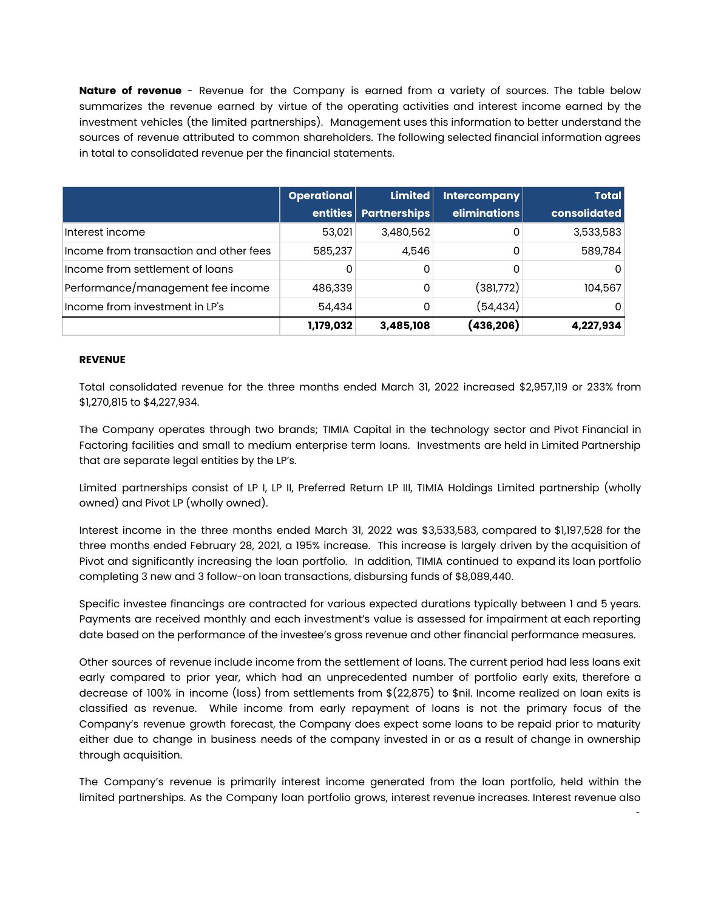**Nature of revenue** - Revenue for the Company is earned from a variety of sources. The table below summarizes the revenue earned by virtue of the operating activities and interest income earned by the investment vehicles (the limited partnerships). Management uses this information to better understand the sources of revenue attributed to common shareholders. The following selected financial information agrees in total to consolidated revenue per the financial statements.

|                                        | Operational | <b>Limited</b>          | Intercompany | <b>Total</b> |
|----------------------------------------|-------------|-------------------------|--------------|--------------|
|                                        |             | entities   Partnerships | eliminations | consolidated |
| Interest income                        | 53,021      | 3,480,562               | 0            | 3,533,583    |
| Income from transaction and other fees | 585,237     | 4,546                   | 0            | 589,784      |
| Income from settlement of loans        | 0           | 0                       |              | 0            |
| Performance/management fee income      | 486,339     | 0                       | (381,772)    | 104,567      |
| Income from investment in LP's         | 54,434      | 0                       | (54, 434)    | 0            |
|                                        | 1,179,032   | 3,485,108               | (436,206)    | 4,227,934    |

# **REVENUE**

Total consolidated revenue for the three months ended March 31, 2022 increased \$2,957,119 or 233% from \$1,270,815 to \$4,227,934.

The Company operates through two brands; TIMIA Capital in the technology sector and Pivot Financial in Factoring facilities and small to medium enterprise term loans. Investments are held in Limited Partnership that are separate legal entities by the LP's.

Limited partnerships consist of LP I, LP II, Preferred Return LP III, TIMIA Holdings Limited partnership (wholly owned) and Pivot LP (wholly owned).

Interest income in the three months ended March 31, 2022 was \$3,533,583, compared to \$1,197,528 for the three months ended February 28, 2021, a 195% increase. This increase is largely driven by the acquisition of Pivot and significantly increasing the loan portfolio. In addition, TIMIA continued to expand its loan portfolio completing 3 new and 3 follow-on loan transactions, disbursing funds of \$8,089,440.

Specific investee financings are contracted for various expected durations typically between 1 and 5 years. Payments are received monthly and each investment's value is assessed for impairment at each reporting date based on the performance of the investee's gross revenue and other financial performance measures.

Other sources of revenue include income from the settlement of loans. The current period had less loans exit early compared to prior year, which had an unprecedented number of portfolio early exits, therefore a decrease of 100% in income (loss) from settlements from \$(22,875) to \$nil. Income realized on loan exits is classified as revenue. While income from early repayment of loans is not the primary focus of the Company's revenue growth forecast, the Company does expect some loans to be repaid prior to maturity either due to change in business needs of the company invested in or as a result of change in ownership through acquisition.

The Company's revenue is primarily interest income generated from the loan portfolio, held within the limited partnerships. As the Company loan portfolio grows, interest revenue increases. Interest revenue also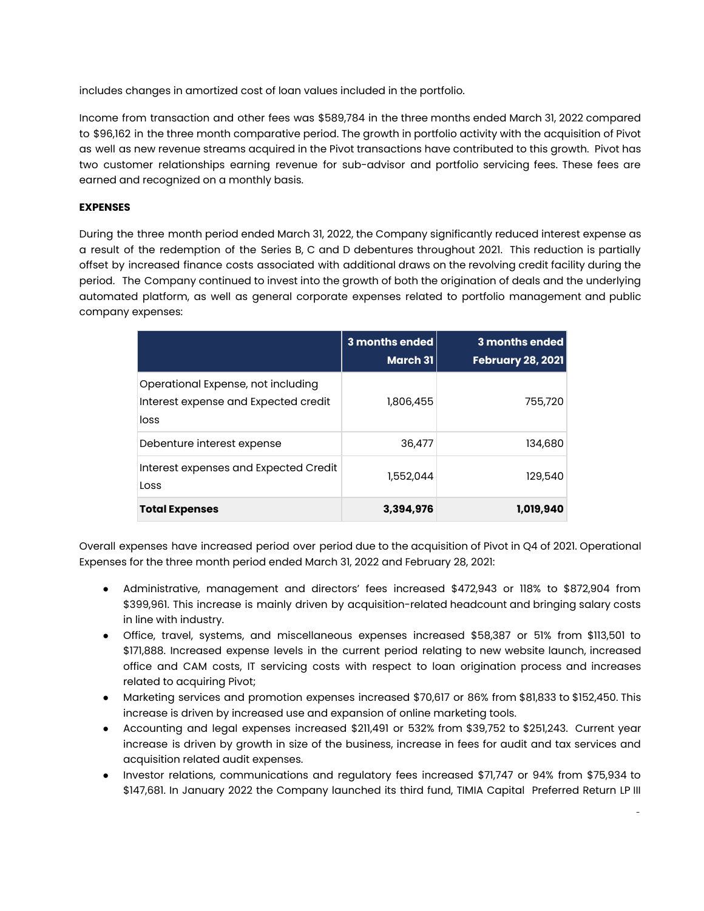includes changes in amortized cost of loan values included in the portfolio.

Income from transaction and other fees was \$589,784 in the three months ended March 31, 2022 compared to \$96,162 in the three month comparative period. The growth in portfolio activity with the acquisition of Pivot as well as new revenue streams acquired in the Pivot transactions have contributed to this growth. Pivot has two customer relationships earning revenue for sub-advisor and portfolio servicing fees. These fees are earned and recognized on a monthly basis.

# **EXPENSES**

During the three month period ended March 31, 2022, the Company significantly reduced interest expense as a result of the redemption of the Series B, C and D debentures throughout 2021. This reduction is partially offset by increased finance costs associated with additional draws on the revolving credit facility during the period. The Company continued to invest into the growth of both the origination of deals and the underlying automated platform, as well as general corporate expenses related to portfolio management and public company expenses:

|                                                                                    | 3 months ended<br>March 31 | <b>3 months ended</b><br>February 28, 2021 |
|------------------------------------------------------------------------------------|----------------------------|--------------------------------------------|
| Operational Expense, not including<br>Interest expense and Expected credit<br>loss | 1,806,455                  | 755,720                                    |
| Debenture interest expense                                                         | 36,477                     | 134,680                                    |
| Interest expenses and Expected Credit<br>Loss                                      | 1,552,044                  | 129,540                                    |
| <b>Total Expenses</b>                                                              | 3,394,976                  | 1,019,940                                  |

Overall expenses have increased period over period due to the acquisition of Pivot in Q4 of 2021. Operational Expenses for the three month period ended March 31, 2022 and February 28, 2021:

- Administrative, management and directors' fees increased \$472,943 or 118% to \$872,904 from \$399,961. This increase is mainly driven by acquisition-related headcount and bringing salary costs in line with industry.
- Office, travel, systems, and miscellaneous expenses increased \$58,387 or 51% from \$113,501 to \$171,888. Increased expense levels in the current period relating to new website launch, increased office and CAM costs, IT servicing costs with respect to loan origination process and increases related to acquiring Pivot;
- Marketing services and promotion expenses increased \$70,617 or 86% from \$81,833 to \$152,450. This increase is driven by increased use and expansion of online marketing tools.
- Accounting and legal expenses increased \$211,491 or 532% from \$39,752 to \$251,243. Current year increase is driven by growth in size of the business, increase in fees for audit and tax services and acquisition related audit expenses.
- Investor relations, communications and regulatory fees increased \$71,747 or 94% from \$75,934 to \$147,681. In January 2022 the Company launched its third fund, TIMIA Capital Preferred Return LP III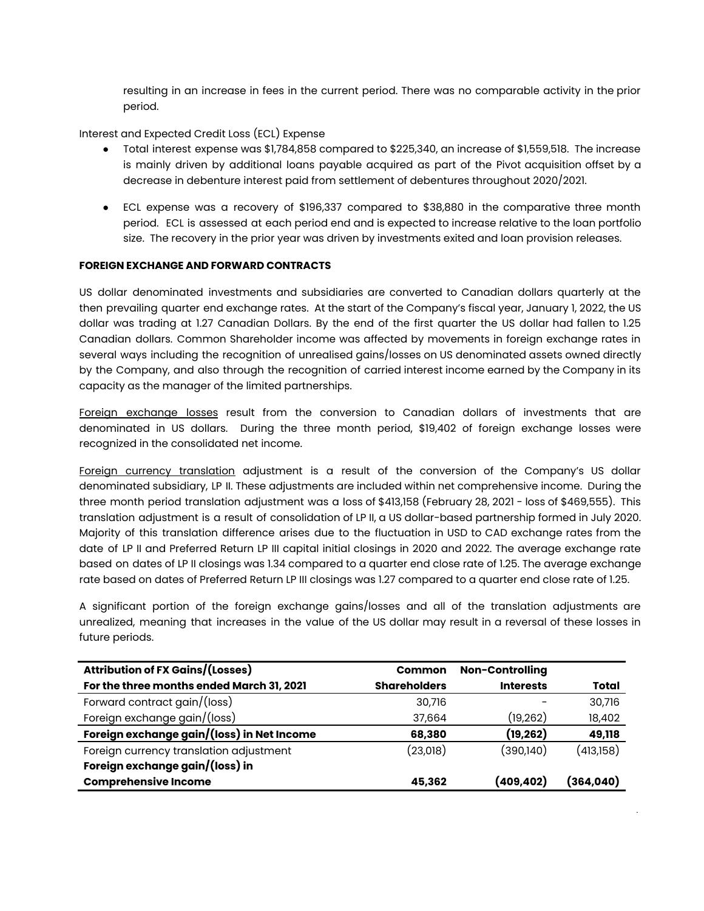resulting in an increase in fees in the current period. There was no comparable activity in the prior period.

# Interest and Expected Credit Loss (ECL) Expense

- Total interest expense was \$1,784,858 compared to \$225,340, an increase of \$1,559,518. The increase is mainly driven by additional loans payable acquired as part of the Pivot acquisition offset by a decrease in debenture interest paid from settlement of debentures throughout 2020/2021.
- ECL expense was a recovery of \$196,337 compared to \$38,880 in the comparative three month period. ECL is assessed at each period end and is expected to increase relative to the loan portfolio size. The recovery in the prior year was driven by investments exited and loan provision releases.

## **FOREIGN EXCHANGE AND FORWARD CONTRACTS**

US dollar denominated investments and subsidiaries are converted to Canadian dollars quarterly at the then prevailing quarter end exchange rates. At the start of the Company's fiscal year, January 1, 2022, the US dollar was trading at 1.27 Canadian Dollars. By the end of the first quarter the US dollar had fallen to 1.25 Canadian dollars. Common Shareholder income was affected by movements in foreign exchange rates in several ways including the recognition of unrealised gains/losses on US denominated assets owned directly by the Company, and also through the recognition of carried interest income earned by the Company in its capacity as the manager of the limited partnerships.

Foreign exchange losses result from the conversion to Canadian dollars of investments that are denominated in US dollars. During the three month period, \$19,402 of foreign exchange losses were recognized in the consolidated net income.

Foreign currency translation adjustment is a result of the conversion of the Company's US dollar denominated subsidiary, LP II. These adjustments are included within net comprehensive income. During the three month period translation adjustment was a loss of \$413,158 (February 28, 2021 - loss of \$469,555). This translation adjustment is a result of consolidation of LP II, a US dollar-based partnership formed in July 2020. Majority of this translation difference arises due to the fluctuation in USD to CAD exchange rates from the date of LP II and Preferred Return LP III capital initial closings in 2020 and 2022. The average exchange rate based on dates of LP II closings was 1.34 compared to a quarter end close rate of 1.25. The average exchange rate based on dates of Preferred Return LP III closings was 1.27 compared to a quarter end close rate of 1.25.

A significant portion of the foreign exchange gains/losses and all of the translation adjustments are unrealized, meaning that increases in the value of the US dollar may result in a reversal of these losses in future periods.

| <b>Attribution of FX Gains/(Losses)</b>    | <b>Common</b>       | <b>Non-Controlling</b> |           |
|--------------------------------------------|---------------------|------------------------|-----------|
| For the three months ended March 31, 2021  | <b>Shareholders</b> | <b>Interests</b>       | Total     |
| Forward contract gain/(loss)               | 30,716              |                        | 30,716    |
| Foreign exchange gain/(loss)               | 37,664              | (19, 262)              | 18,402    |
| Foreign exchange gain/(loss) in Net Income | 68,380              | (19,262)               | 49,118    |
| Foreign currency translation adjustment    | (23,018)            | (390,140)              | (413,158) |
| Foreign exchange gain/(loss) in            |                     |                        |           |
| <b>Comprehensive Income</b>                | 45,362              | (409,402)              | (364,040) |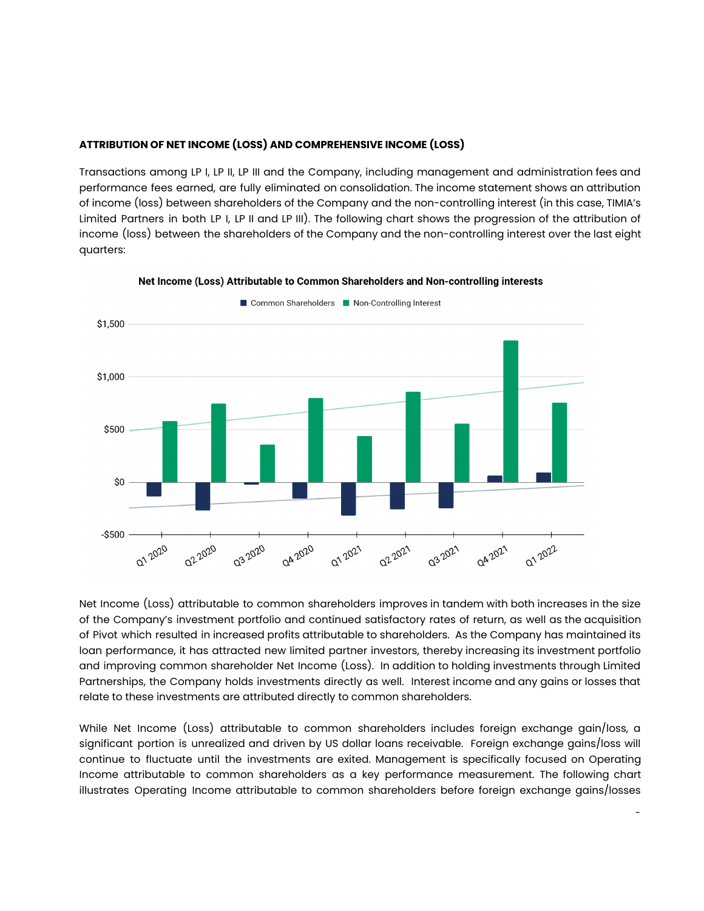## **ATTRIBUTION OF NET INCOME (LOSS) AND COMPREHENSIVE INCOME (LOSS)**

Transactions among LP I, LP II, LP III and the Company, including management and administration fees and performance fees earned, are fully eliminated on consolidation. The income statement shows an attribution of income (loss) between shareholders of the Company and the non-controlling interest (in this case, TIMIA's Limited Partners in both LP I, LP II and LP III). The following chart shows the progression of the attribution of income (loss) between the shareholders of the Company and the non-controlling interest over the last eight quarters:



Net Income (Loss) Attributable to Common Shareholders and Non-controlling interests

Common Shareholders Non-Controlling Interest

Net Income (Loss) attributable to common shareholders improves in tandem with both increases in the size of the Company's investment portfolio and continued satisfactory rates of return, as well as the acquisition of Pivot which resulted in increased profits attributable to shareholders. As the Company has maintained its loan performance, it has attracted new limited partner investors, thereby increasing its investment portfolio and improving common shareholder Net Income (Loss). In addition to holding investments through Limited Partnerships, the Company holds investments directly as well. Interest income and any gains or losses that relate to these investments are attributed directly to common shareholders.

While Net Income (Loss) attributable to common shareholders includes foreign exchange gain/loss, a significant portion is unrealized and driven by US dollar loans receivable. Foreign exchange gains/loss will continue to fluctuate until the investments are exited. Management is specifically focused on Operating Income attributable to common shareholders as a key performance measurement. The following chart illustrates Operating Income attributable to common shareholders before foreign exchange gains/losses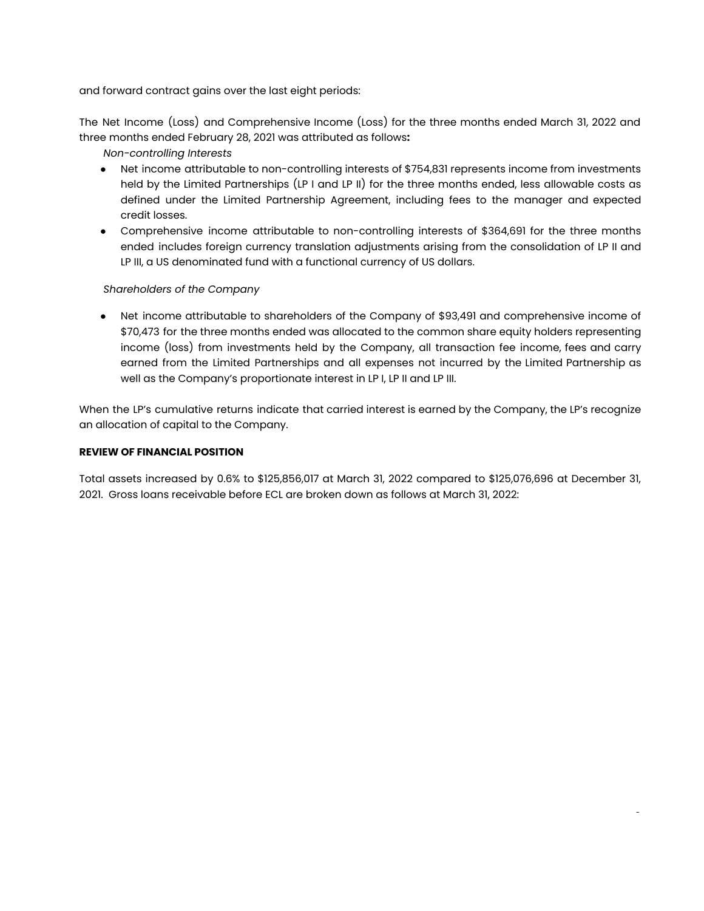and forward contract gains over the last eight periods:

The Net Income (Loss) and Comprehensive Income (Loss) for the three months ended March 31, 2022 and three months ended February 28, 2021 was attributed as follows**:**

*Non-controlling Interests*

- Net income attributable to non-controlling interests of \$754,831 represents income from investments held by the Limited Partnerships (LP I and LP II) for the three months ended, less allowable costs as defined under the Limited Partnership Agreement, including fees to the manager and expected credit losses.
- Comprehensive income attributable to non-controlling interests of \$364,691 for the three months ended includes foreign currency translation adjustments arising from the consolidation of LP II and LP III, a US denominated fund with a functional currency of US dollars.

# *Shareholders of the Company*

● Net income attributable to shareholders of the Company of \$93,491 and comprehensive income of \$70,473 for the three months ended was allocated to the common share equity holders representing income (loss) from investments held by the Company, all transaction fee income, fees and carry earned from the Limited Partnerships and all expenses not incurred by the Limited Partnership as well as the Company's proportionate interest in LP I, LP II and LP III.

When the LP's cumulative returns indicate that carried interest is earned by the Company, the LP's recognize an allocation of capital to the Company.

# **REVIEW OF FINANCIAL POSITION**

Total assets increased by 0.6% to \$125,856,017 at March 31, 2022 compared to \$125,076,696 at December 31, 2021. Gross loans receivable before ECL are broken down as follows at March 31, 2022:

<sup>-</sup>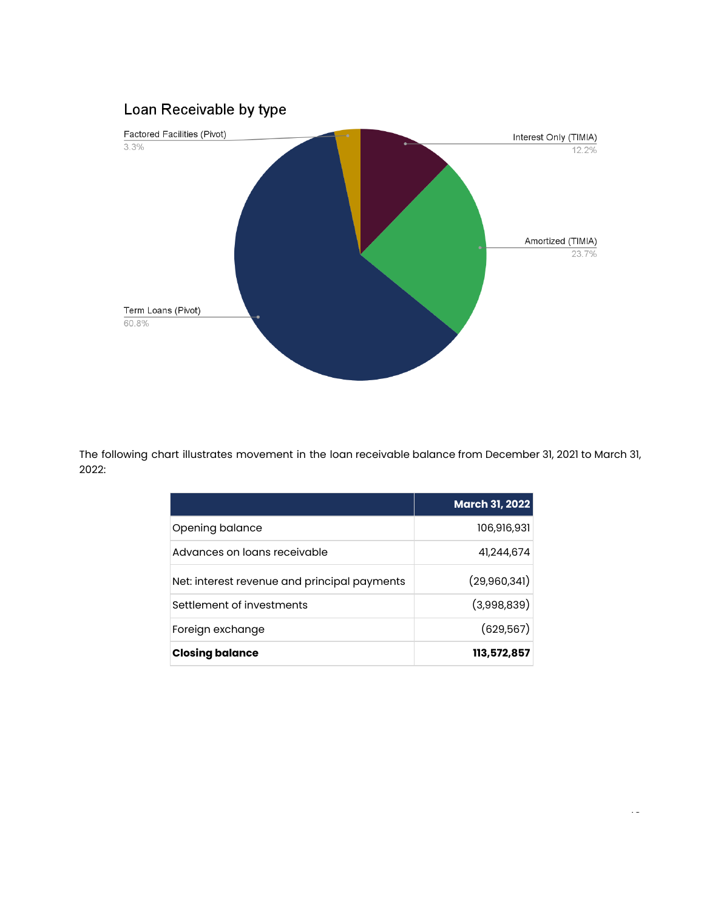# Loan Receivable by type



The following chart illustrates movement in the loan receivable balance from December 31, 2021 to March 31, 2022:

|                                              | <b>March 31, 2022</b> |
|----------------------------------------------|-----------------------|
| Opening balance                              | 106,916,931           |
| Advances on loans receivable                 | 41,244,674            |
| Net: interest revenue and principal payments | (29,960,341)          |
| Settlement of investments                    | (3,998,839)           |
| Foreign exchange                             | (629, 567)            |
| <b>Closing balance</b>                       | 113,572,857           |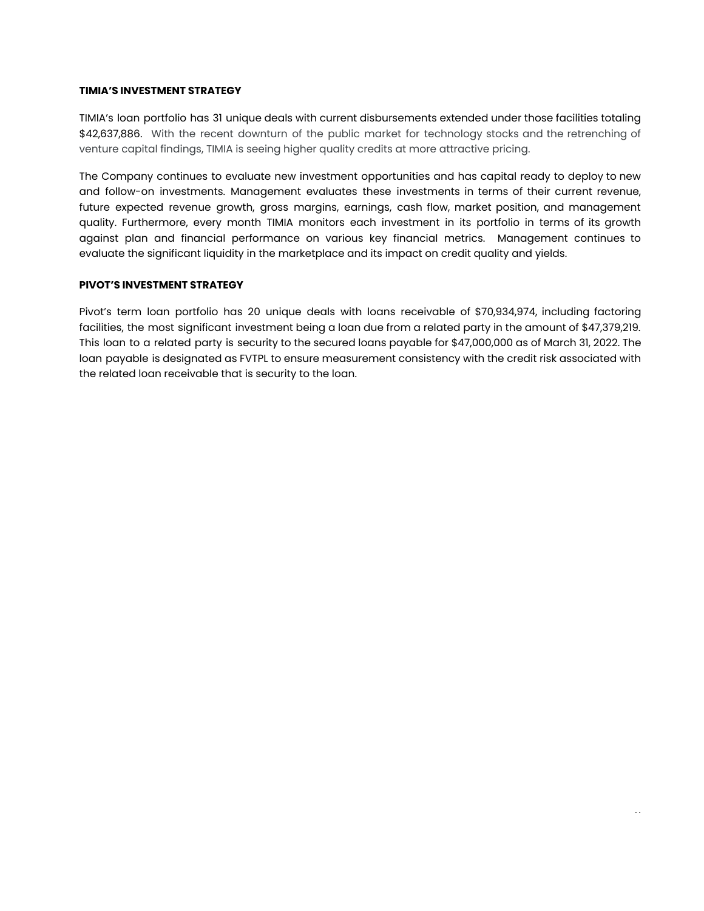#### **TIMIA'S INVESTMENT STRATEGY**

TIMIA's loan portfolio has 31 unique deals with current disbursements extended under those facilities totaling \$42,637,886. With the recent downturn of the public market for technology stocks and the retrenching of venture capital findings, TIMIA is seeing higher quality credits at more attractive pricing.

The Company continues to evaluate new investment opportunities and has capital ready to deploy to new and follow-on investments. Management evaluates these investments in terms of their current revenue, future expected revenue growth, gross margins, earnings, cash flow, market position, and management quality. Furthermore, every month TIMIA monitors each investment in its portfolio in terms of its growth against plan and financial performance on various key financial metrics. Management continues to evaluate the significant liquidity in the marketplace and its impact on credit quality and yields.

# **PIVOT'S INVESTMENT STRATEGY**

Pivot's term loan portfolio has 20 unique deals with loans receivable of \$70,934,974, including factoring facilities, the most significant investment being a loan due from a related party in the amount of \$47,379,219. This loan to a related party is security to the secured loans payable for \$47,000,000 as of March 31, 2022. The loan payable is designated as FVTPL to ensure measurement consistency with the credit risk associated with the related loan receivable that is security to the loan.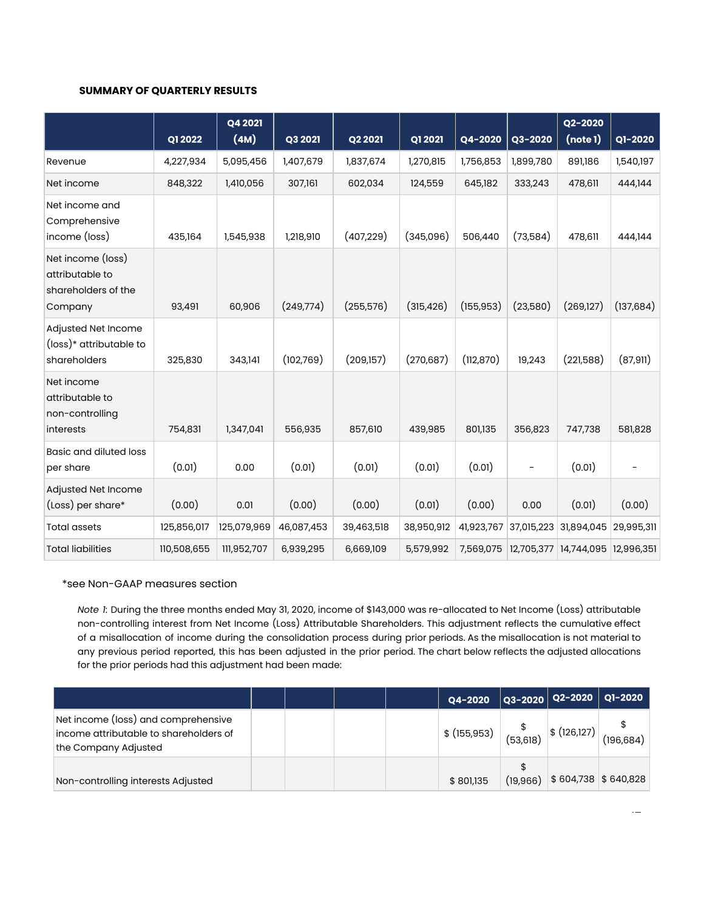#### **SUMMARY OF QUARTERLY RESULTS**

|                                                                        | Q1 2022     | Q4 2021<br>(4M) | Q3 2021    | Q2 2021    | Q1 2021    | Q4-2020    | Q3-2020    | Q2-2020<br>(note 1)   | Q1-2020    |
|------------------------------------------------------------------------|-------------|-----------------|------------|------------|------------|------------|------------|-----------------------|------------|
| Revenue                                                                | 4,227,934   | 5,095,456       | 1,407,679  | 1,837,674  | 1,270,815  | 1,756,853  | 1,899,780  | 891,186               | 1,540,197  |
| Net income                                                             | 848,322     | 1,410,056       | 307,161    | 602,034    | 124,559    | 645,182    | 333,243    | 478,611               | 444,144    |
| Net income and<br>Comprehensive<br>income (loss)                       | 435,164     | 1,545,938       | 1,218,910  | (407, 229) | (345,096)  | 506,440    | (73,584)   | 478,611               | 444,144    |
| Net income (loss)<br>attributable to<br>shareholders of the<br>Company | 93,491      | 60,906          | (249,774)  | (255, 576) | (315, 426) | (155, 953) | (23,580)   | (269, 127)            | (137, 684) |
| Adjusted Net Income<br>(loss)* attributable to<br>shareholders         | 325,830     | 343,141         | (102,769)  | (209,157)  | (270, 687) | (112,870)  | 19,243     | (221,588)             | (87, 911)  |
| Net income<br>attributable to<br>non-controlling<br>interests          | 754,831     | 1,347,041       | 556,935    | 857,610    | 439,985    | 801,135    | 356,823    | 747,738               | 581,828    |
| <b>Basic and diluted loss</b><br>per share                             | (0.01)      | 0.00            | (0.01)     | (0.01)     | (0.01)     | (0.01)     |            | (0.01)                | -          |
| Adjusted Net Income<br>(Loss) per share*                               | (0.00)      | 0.01            | (0.00)     | (0.00)     | (0.01)     | (0.00)     | 0.00       | (0.01)                | (0.00)     |
| <b>Total assets</b>                                                    | 125,856,017 | 125,079,969     | 46,087,453 | 39,463,518 | 38,950,912 | 41,923,767 | 37,015,223 | 31,894,045            | 29,995,311 |
| <b>Total liabilities</b>                                               | 110,508,655 | 111,952,707     | 6,939,295  | 6,669,109  | 5,579,992  | 7,569,075  |            | 12,705,377 14,744,095 | 12,996,351 |

#### \*see Non-GAAP measures section

*Note 1*: During the three months ended May 31, 2020, income of \$143,000 was re-allocated to Net Income (Loss) attributable non-controlling interest from Net Income (Loss) Attributable Shareholders. This adjustment reflects the cumulative effect of a misallocation of income during the consolidation process during prior periods. As the misallocation is not material to any previous period reported, this has been adjusted in the prior period. The chart below reflects the adjusted allocations for the prior periods had this adjustment had been made:

|                                                                                                       |  |  | Q4-2020                            |          |             | $Q3-2020$ $Q2-2020$ $Q1-2020$ |
|-------------------------------------------------------------------------------------------------------|--|--|------------------------------------|----------|-------------|-------------------------------|
| Net income (loss) and comprehensive<br>income attributable to shareholders of<br>the Company Adjusted |  |  | $$^{5}$ (155,953) $ ^{5}$ (53,618) |          | \$(126,127) | (196, 684)                    |
| Non-controlling interests Adjusted                                                                    |  |  | \$801,135                          | (19,966) |             | $$604,738$ $$640,828$         |

 $\overline{a}$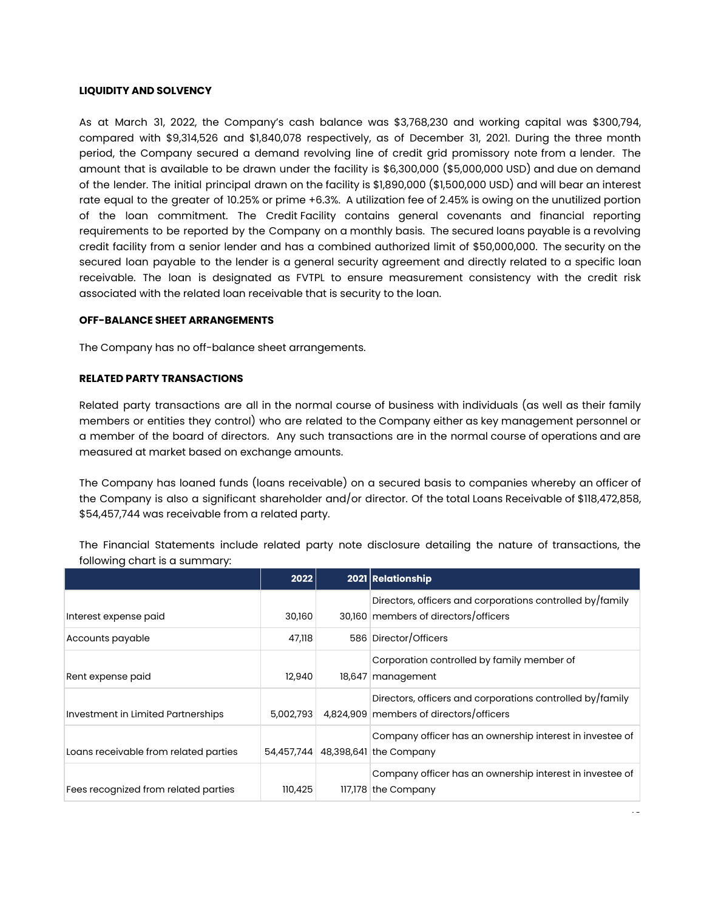#### **LIQUIDITY AND SOLVENCY**

As at March 31, 2022, the Company's cash balance was \$3,768,230 and working capital was \$300,794, compared with \$9,314,526 and \$1,840,078 respectively, as of December 31, 2021. During the three month period, the Company secured a demand revolving line of credit grid promissory note from a lender. The amount that is available to be drawn under the facility is \$6,300,000 (\$5,000,000 USD) and due on demand of the lender. The initial principal drawn on the facility is \$1,890,000 (\$1,500,000 USD) and will bear an interest rate equal to the greater of 10.25% or prime +6.3%. A utilization fee of 2.45% is owing on the unutilized portion of the loan commitment. The Credit Facility contains general covenants and financial reporting requirements to be reported by the Company on a monthly basis. The secured loans payable is a revolving credit facility from a senior lender and has a combined authorized limit of \$50,000,000. The security on the secured loan payable to the lender is a general security agreement and directly related to a specific loan receivable. The loan is designated as FVTPL to ensure measurement consistency with the credit risk associated with the related loan receivable that is security to the loan.

## **OFF-BALANCE SHEET ARRANGEMENTS**

The Company has no off-balance sheet arrangements.

### **RELATED PARTY TRANSACTIONS**

Related party transactions are all in the normal course of business with individuals (as well as their family members or entities they control) who are related to the Company either as key management personnel or a member of the board of directors. Any such transactions are in the normal course of operations and are measured at market based on exchange amounts.

The Company has loaned funds (loans receivable) on a secured basis to companies whereby an officer of the Company is also a significant shareholder and/or director. Of the total Loans Receivable of \$118,472,858, \$54,457,744 was receivable from a related party.

The Financial Statements include related party note disclosure detailing the nature of transactions, the following chart is a summary:

|                                       | 2022      | 2021 Relationship                                                                                    |
|---------------------------------------|-----------|------------------------------------------------------------------------------------------------------|
| Interest expense paid                 | 30,160    | Directors, officers and corporations controlled by/family<br>30,160 members of directors/officers    |
| Accounts payable                      | 47,118    | 586 Director/Officers                                                                                |
| Rent expense paid                     | 12,940    | Corporation controlled by family member of<br>18,647 management                                      |
| Investment in Limited Partnerships    | 5,002,793 | Directors, officers and corporations controlled by/family<br>4,824,909 members of directors/officers |
| Loans receivable from related parties |           | Company officer has an ownership interest in investee of<br>54,457,744 48,398,641 the Company        |
| Fees recognized from related parties  | 110,425   | Company officer has an ownership interest in investee of<br>$117,178$ the Company                    |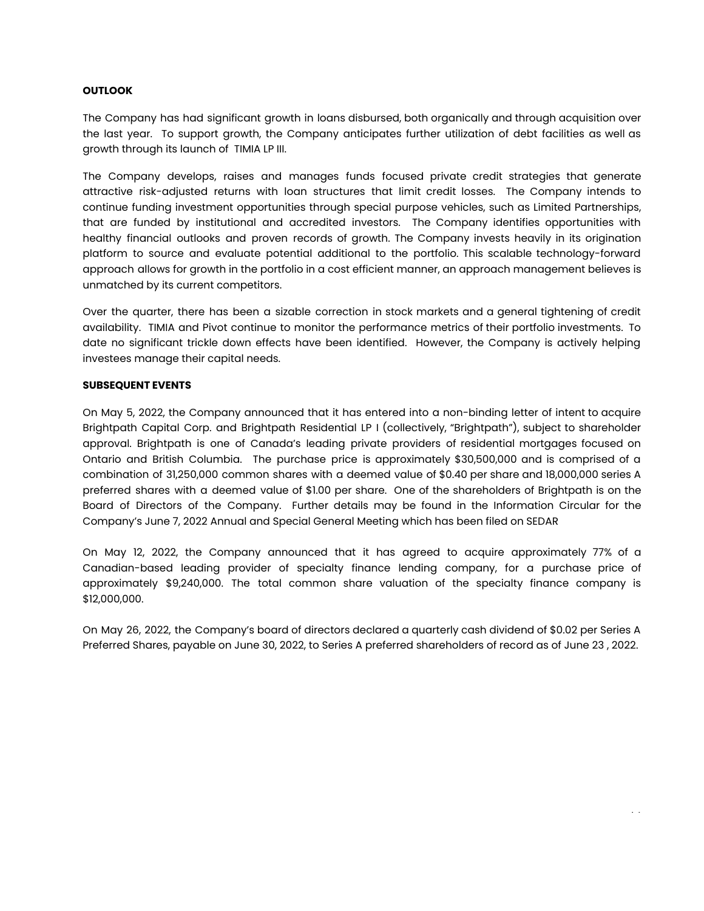## **OUTLOOK**

The Company has had significant growth in loans disbursed, both organically and through acquisition over the last year. To support growth, the Company anticipates further utilization of debt facilities as well as growth through its launch of TIMIA LP III.

The Company develops, raises and manages funds focused private credit strategies that generate attractive risk-adjusted returns with loan structures that limit credit losses. The Company intends to continue funding investment opportunities through special purpose vehicles, such as Limited Partnerships, that are funded by institutional and accredited investors. The Company identifies opportunities with healthy financial outlooks and proven records of growth. The Company invests heavily in its origination platform to source and evaluate potential additional to the portfolio. This scalable technology-forward approach allows for growth in the portfolio in a cost efficient manner, an approach management believes is unmatched by its current competitors.

Over the quarter, there has been a sizable correction in stock markets and a general tightening of credit availability. TIMIA and Pivot continue to monitor the performance metrics of their portfolio investments. To date no significant trickle down effects have been identified. However, the Company is actively helping investees manage their capital needs.

#### **SUBSEQUENT EVENTS**

On May 5, 2022, the Company announced that it has entered into a non-binding letter of intent to acquire Brightpath Capital Corp. and Brightpath Residential LP I (collectively, "Brightpath"), subject to shareholder approval. Brightpath is one of Canada's leading private providers of residential mortgages focused on Ontario and British Columbia. The purchase price is approximately \$30,500,000 and is comprised of a combination of 31,250,000 common shares with a deemed value of \$0.40 per share and 18,000,000 series A preferred shares with a deemed value of \$1.00 per share. One of the shareholders of Brightpath is on the Board of Directors of the Company. Further details may be found in the Information Circular for the Company's June 7, 2022 Annual and Special General Meeting which has been filed on SEDAR

On May 12, 2022, the Company announced that it has agreed to acquire approximately 77% of a Canadian-based leading provider of specialty finance lending company, for a purchase price of approximately \$9,240,000. The total common share valuation of the specialty finance company is \$12,000,000.

On May 26, 2022, the Company's board of directors declared a quarterly cash dividend of \$0.02 per Series A Preferred Shares, payable on June 30, 2022, to Series A preferred shareholders of record as of June 23 , 2022.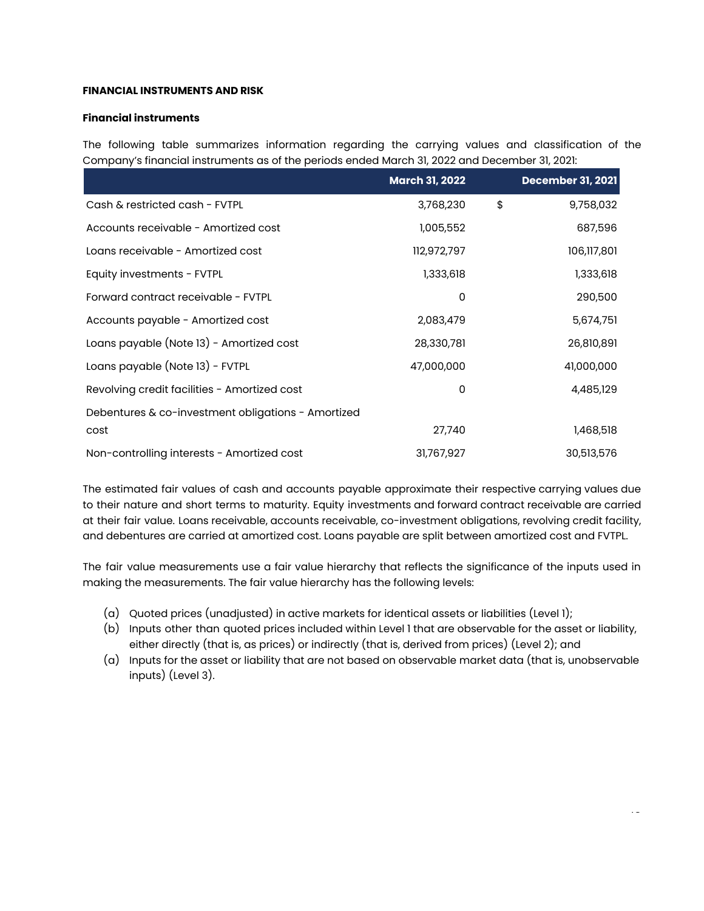## **FINANCIAL INSTRUMENTS AND RISK**

## **Financial instruments**

The following table summarizes information regarding the carrying values and classification of the Company's financial instruments as of the periods ended March 31, 2022 and December 31, 2021:

|                                                    | <b>March 31, 2022</b> | <b>December 31, 2021</b> |
|----------------------------------------------------|-----------------------|--------------------------|
| Cash & restricted cash - FVTPL                     | 3,768,230             | \$<br>9,758,032          |
| Accounts receivable - Amortized cost               | 1,005,552             | 687,596                  |
| Loans receivable - Amortized cost                  | 112,972,797           | 106,117,801              |
| Equity investments - FVTPL                         | 1,333,618             | 1,333,618                |
| Forward contract receivable - FVTPL                | 0                     | 290,500                  |
| Accounts payable - Amortized cost                  | 2,083,479             | 5,674,751                |
| Loans payable (Note 13) - Amortized cost           | 28,330,781            | 26,810,891               |
| Loans payable (Note 13) - FVTPL                    | 47,000,000            | 41,000,000               |
| Revolving credit facilities - Amortized cost       | 0                     | 4,485,129                |
| Debentures & co-investment obligations - Amortized |                       |                          |
| cost                                               | 27,740                | 1,468,518                |
| Non-controlling interests - Amortized cost         | 31,767,927            | 30,513,576               |

The estimated fair values of cash and accounts payable approximate their respective carrying values due to their nature and short terms to maturity. Equity investments and forward contract receivable are carried at their fair value. Loans receivable, accounts receivable, co-investment obligations, revolving credit facility, and debentures are carried at amortized cost. Loans payable are split between amortized cost and FVTPL.

The fair value measurements use a fair value hierarchy that reflects the significance of the inputs used in making the measurements. The fair value hierarchy has the following levels:

- (a) Quoted prices (unadjusted) in active markets for identical assets or liabilities (Level 1);
- (b) Inputs other than quoted prices included within Level 1 that are observable for the asset or liability, either directly (that is, as prices) or indirectly (that is, derived from prices) (Level 2); and
- (a) Inputs for the asset or liability that are not based on observable market data (that is, unobservable inputs) (Level 3).

 $\ddotsc$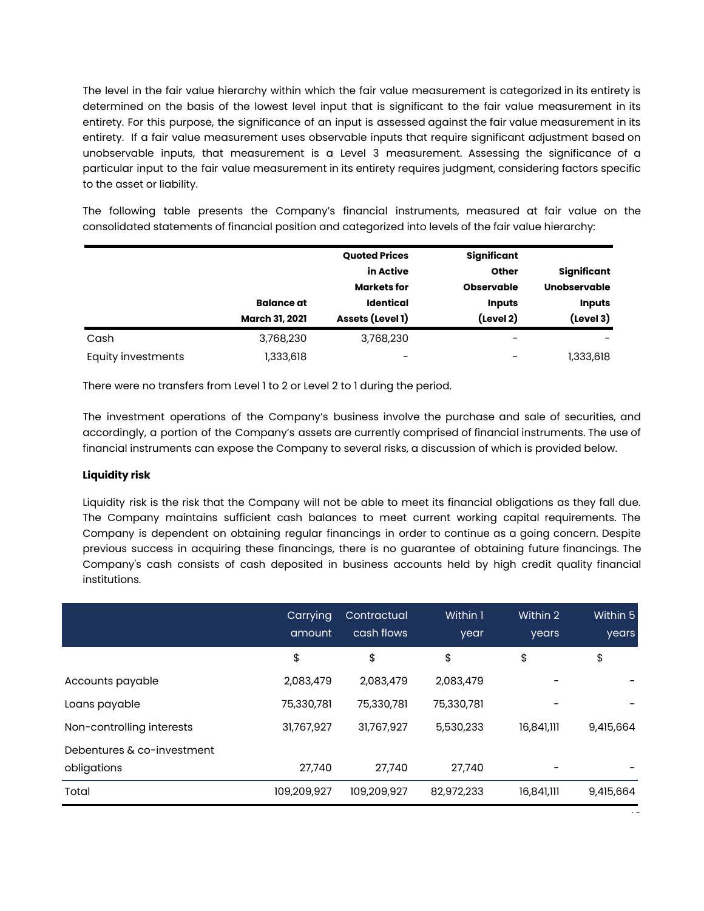The level in the fair value hierarchy within which the fair value measurement is categorized in its entirety is determined on the basis of the lowest level input that is significant to the fair value measurement in its entirety. For this purpose, the significance of an input is assessed against the fair value measurement in its entirety. If a fair value measurement uses observable inputs that require significant adjustment based on unobservable inputs, that measurement is a Level 3 measurement. Assessing the significance of a particular input to the fair value measurement in its entirety requires judgment, considering factors specific to the asset or liability.

The following table presents the Company's financial instruments, measured at fair value on the consolidated statements of financial position and categorized into levels of the fair value hierarchy:

|                    |                       | <b>Quoted Prices</b> | Significant       |                     |
|--------------------|-----------------------|----------------------|-------------------|---------------------|
|                    |                       | in Active            | Other             | Significant         |
|                    |                       | <b>Markets for</b>   | <b>Observable</b> | <b>Unobservable</b> |
|                    | <b>Balance</b> at     | <b>Identical</b>     | <b>Inputs</b>     | <b>Inputs</b>       |
|                    | <b>March 31, 2021</b> | Assets (Level 1)     | (Level 2)         | (Level 3)           |
| Cash               | 3,768,230             | 3,768,230            | -                 |                     |
| Equity investments | 1,333,618             | -                    | -                 | 1,333,618           |

There were no transfers from Level 1 to 2 or Level 2 to 1 during the period.

The investment operations of the Company's business involve the purchase and sale of securities, and accordingly, a portion of the Company's assets are currently comprised of financial instruments. The use of financial instruments can expose the Company to several risks, a discussion of which is provided below.

# **Liquidity risk**

Liquidity risk is the risk that the Company will not be able to meet its financial obligations as they fall due. The Company maintains sufficient cash balances to meet current working capital requirements. The Company is dependent on obtaining regular financings in order to continue as a going concern. Despite previous success in acquiring these financings, there is no guarantee of obtaining future financings. The Company's cash consists of cash deposited in business accounts held by high credit quality financial institutions.

|                            | Carrying<br>amount | Contractual<br>cash flows | Within 1<br>year | Within 2<br>years | Within 5<br>years |
|----------------------------|--------------------|---------------------------|------------------|-------------------|-------------------|
|                            | \$                 | \$                        | \$               | \$                | \$                |
| Accounts payable           | 2,083,479          | 2,083,479                 | 2,083,479        |                   |                   |
| Loans payable              | 75,330,781         | 75,330,781                | 75,330,781       |                   |                   |
| Non-controlling interests  | 31,767,927         | 31,767,927                | 5,530,233        | 16,841,111        | 9,415,664         |
| Debentures & co-investment |                    |                           |                  |                   |                   |
| obligations                | 27,740             | 27,740                    | 27,740           |                   |                   |
| Total                      | 109,209,927        | 109,209,927               | 82,972,233       | 16,841,111        | 9,415,664         |

 $\overline{\phantom{a}}$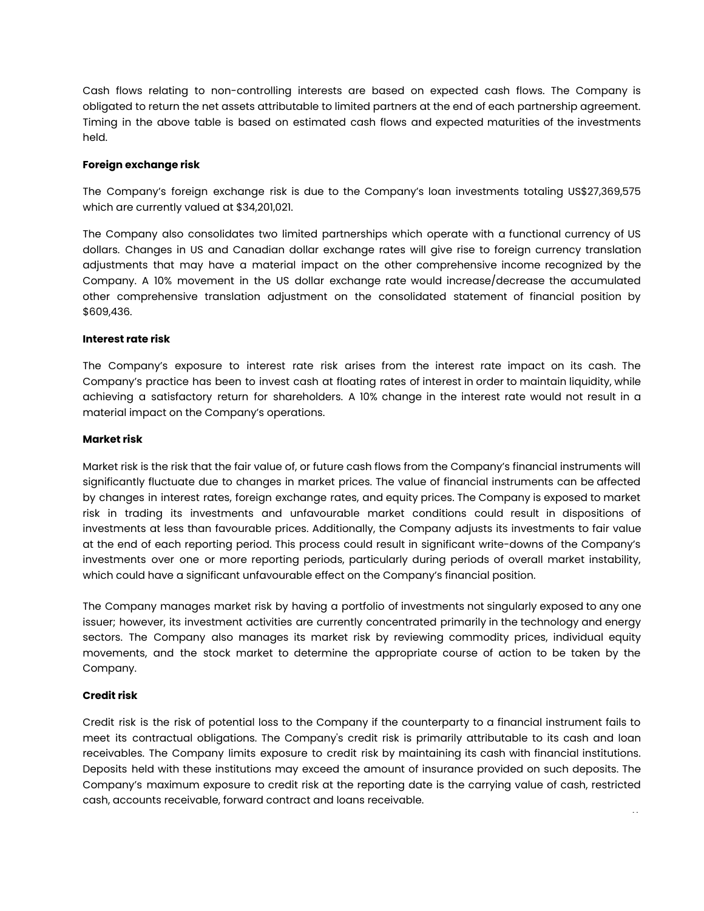Cash flows relating to non-controlling interests are based on expected cash flows. The Company is obligated to return the net assets attributable to limited partners at the end of each partnership agreement. Timing in the above table is based on estimated cash flows and expected maturities of the investments held.

## **Foreign exchange risk**

The Company's foreign exchange risk is due to the Company's loan investments totaling US\$27,369,575 which are currently valued at \$34,201,021.

The Company also consolidates two limited partnerships which operate with a functional currency of US dollars. Changes in US and Canadian dollar exchange rates will give rise to foreign currency translation adjustments that may have a material impact on the other comprehensive income recognized by the Company. A 10% movement in the US dollar exchange rate would increase/decrease the accumulated other comprehensive translation adjustment on the consolidated statement of financial position by \$609,436.

### **Interest rate risk**

The Company's exposure to interest rate risk arises from the interest rate impact on its cash. The Company's practice has been to invest cash at floating rates of interest in order to maintain liquidity, while achieving a satisfactory return for shareholders. A 10% change in the interest rate would not result in a material impact on the Company's operations.

### **Market risk**

Market risk is the risk that the fair value of, or future cash flows from the Company's financial instruments will significantly fluctuate due to changes in market prices. The value of financial instruments can be affected by changes in interest rates, foreign exchange rates, and equity prices. The Company is exposed to market risk in trading its investments and unfavourable market conditions could result in dispositions of investments at less than favourable prices. Additionally, the Company adjusts its investments to fair value at the end of each reporting period. This process could result in significant write-downs of the Company's investments over one or more reporting periods, particularly during periods of overall market instability, which could have a significant unfavourable effect on the Company's financial position.

The Company manages market risk by having a portfolio of investments not singularly exposed to any one issuer; however, its investment activities are currently concentrated primarily in the technology and energy sectors. The Company also manages its market risk by reviewing commodity prices, individual equity movements, and the stock market to determine the appropriate course of action to be taken by the Company.

## **Credit risk**

Credit risk is the risk of potential loss to the Company if the counterparty to a financial instrument fails to meet its contractual obligations. The Company's credit risk is primarily attributable to its cash and loan receivables. The Company limits exposure to credit risk by maintaining its cash with financial institutions. Deposits held with these institutions may exceed the amount of insurance provided on such deposits. The Company's maximum exposure to credit risk at the reporting date is the carrying value of cash, restricted cash, accounts receivable, forward contract and loans receivable. 17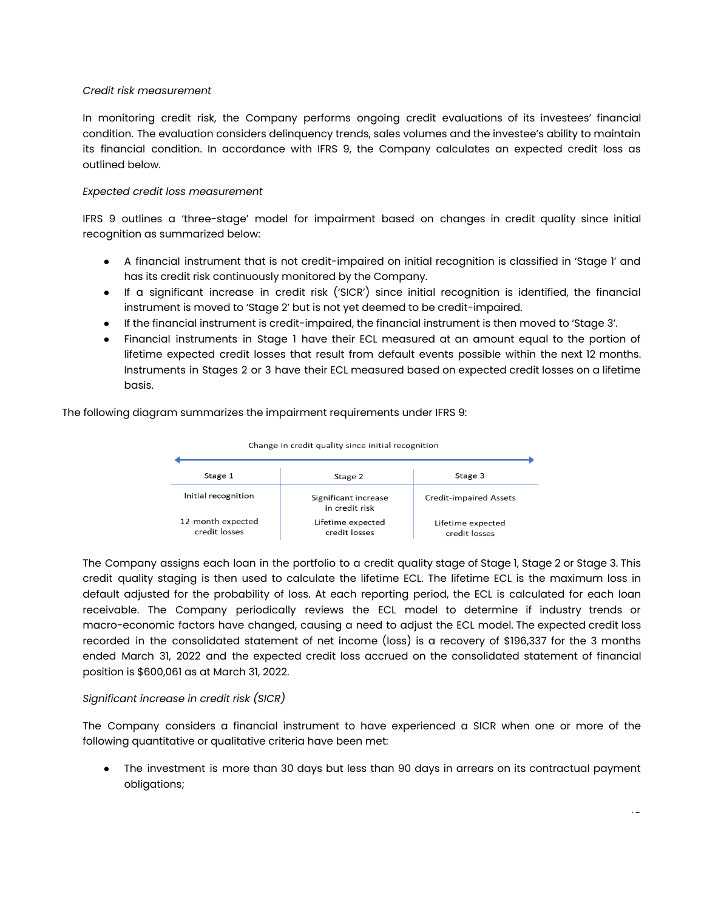#### *Credit risk measurement*

In monitoring credit risk, the Company performs ongoing credit evaluations of its investees' financial condition. The evaluation considers delinquency trends, sales volumes and the investee's ability to maintain its financial condition. In accordance with IFRS 9, the Company calculates an expected credit loss as outlined below.

## *Expected credit loss measurement*

IFRS 9 outlines a 'three-stage' model for impairment based on changes in credit quality since initial recognition as summarized below:

- A financial instrument that is not credit-impaired on initial recognition is classified in 'Stage 1' and has its credit risk continuously monitored by the Company.
- If a significant increase in credit risk ('SICR') since initial recognition is identified, the financial instrument is moved to 'Stage 2' but is not yet deemed to be credit-impaired.
- If the financial instrument is credit-impaired, the financial instrument is then moved to 'Stage 3'.
- Financial instruments in Stage 1 have their ECL measured at an amount equal to the portion of lifetime expected credit losses that result from default events possible within the next 12 months. Instruments in Stages 2 or 3 have their ECL measured based on expected credit losses on a lifetime basis.

The following diagram summarizes the impairment requirements under IFRS 9:



The Company assigns each loan in the portfolio to a credit quality stage of Stage 1, Stage 2 or Stage 3. This credit quality staging is then used to calculate the lifetime ECL. The lifetime ECL is the maximum loss in default adjusted for the probability of loss. At each reporting period, the ECL is calculated for each loan receivable. The Company periodically reviews the ECL model to determine if industry trends or macro-economic factors have changed, causing a need to adjust the ECL model. The expected credit loss recorded in the consolidated statement of net income (loss) is a recovery of \$196,337 for the 3 months ended March 31, 2022 and the expected credit loss accrued on the consolidated statement of financial position is \$600,061 as at March 31, 2022.

## *Significant increase in credit risk (SICR)*

The Company considers a financial instrument to have experienced a SICR when one or more of the following quantitative or qualitative criteria have been met:

• The investment is more than 30 days but less than 90 days in arrears on its contractual payment obligations;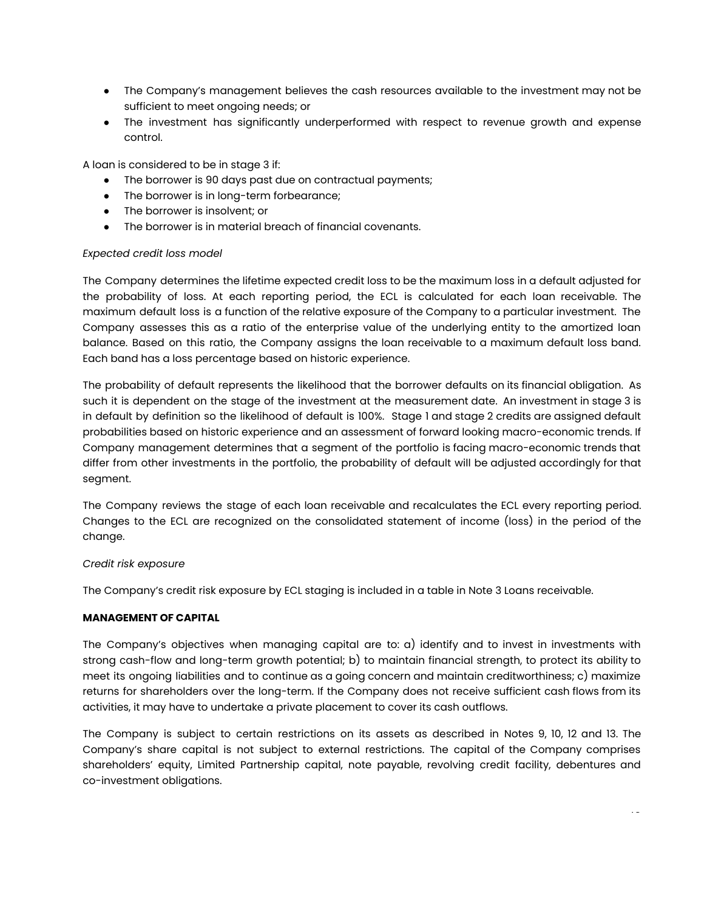- The Company's management believes the cash resources available to the investment may not be sufficient to meet ongoing needs; or
- *●* The investment has significantly underperformed with respect to revenue growth and expense control.

A loan is considered to be in stage 3 if:

- The borrower is 90 days past due on contractual payments;
- The borrower is in long-term forbearance;
- The borrower is insolvent; or
- The borrower is in material breach of financial covenants.

### *Expected credit loss model*

The Company determines the lifetime expected credit loss to be the maximum loss in a default adjusted for the probability of loss. At each reporting period, the ECL is calculated for each loan receivable. The maximum default loss is a function of the relative exposure of the Company to a particular investment. The Company assesses this as a ratio of the enterprise value of the underlying entity to the amortized loan balance. Based on this ratio, the Company assigns the loan receivable to a maximum default loss band. Each band has a loss percentage based on historic experience.

The probability of default represents the likelihood that the borrower defaults on its financial obligation. As such it is dependent on the stage of the investment at the measurement date. An investment in stage 3 is in default by definition so the likelihood of default is 100%. Stage 1 and stage 2 credits are assigned default probabilities based on historic experience and an assessment of forward looking macro-economic trends. If Company management determines that a segment of the portfolio is facing macro-economic trends that differ from other investments in the portfolio, the probability of default will be adjusted accordingly for that segment.

The Company reviews the stage of each loan receivable and recalculates the ECL every reporting period. Changes to the ECL are recognized on the consolidated statement of income (loss) in the period of the change.

#### *Credit risk exposure*

The Company's credit risk exposure by ECL staging is included in a table in Note 3 Loans receivable.

#### **MANAGEMENT OF CAPITAL**

The Company's objectives when managing capital are to: a) identify and to invest in investments with strong cash-flow and long-term growth potential; b) to maintain financial strength, to protect its ability to meet its ongoing liabilities and to continue as a going concern and maintain creditworthiness; c) maximize returns for shareholders over the long-term. If the Company does not receive sufficient cash flows from its activities, it may have to undertake a private placement to cover its cash outflows.

The Company is subject to certain restrictions on its assets as described in Notes 9, 10, 12 and 13. The Company's share capital is not subject to external restrictions. The capital of the Company comprises shareholders' equity, Limited Partnership capital, note payable, revolving credit facility, debentures and co-investment obligations.